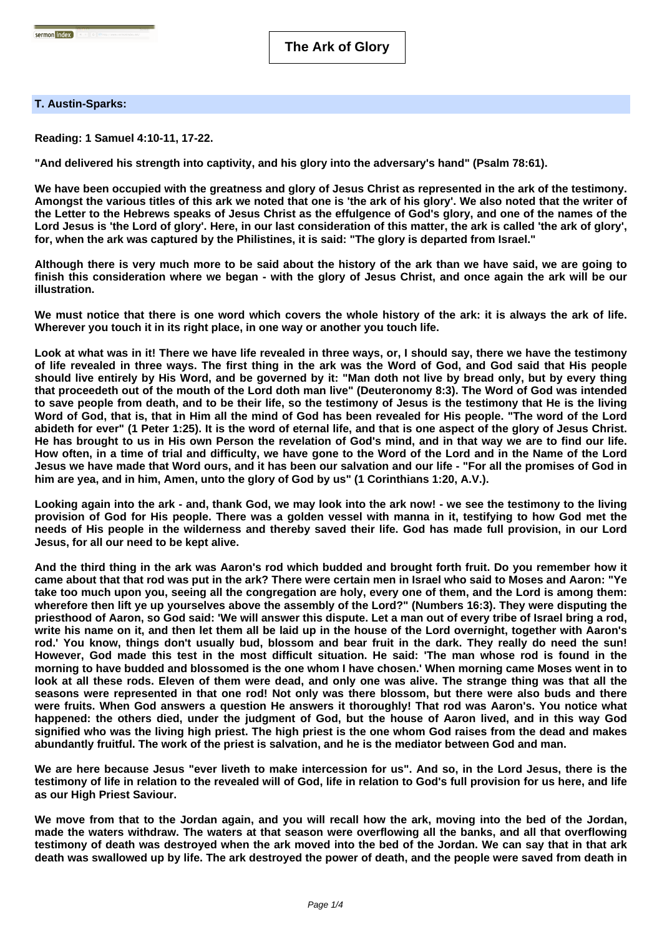## **T. Austin-Sparks:**

**Reading: 1 Samuel 4:10-11, 17-22.**

**"And delivered his strength into captivity, and his glory into the adversary's hand" (Psalm 78:61).**

**We have been occupied with the greatness and glory of Jesus Christ as represented in the ark of the testimony. Amongst the various titles of this ark we noted that one is 'the ark of his glory'. We also noted that the writer of the Letter to the Hebrews speaks of Jesus Christ as the effulgence of God's glory, and one of the names of the Lord Jesus is 'the Lord of glory'. Here, in our last consideration of this matter, the ark is called 'the ark of glory', for, when the ark was captured by the Philistines, it is said: "The glory is departed from Israel."**

**Although there is very much more to be said about the history of the ark than we have said, we are going to finish this consideration where we began - with the glory of Jesus Christ, and once again the ark will be our illustration.**

**We must notice that there is one word which covers the whole history of the ark: it is always the ark of life. Wherever you touch it in its right place, in one way or another you touch life.**

**Look at what was in it! There we have life revealed in three ways, or, I should say, there we have the testimony of life revealed in three ways. The first thing in the ark was the Word of God, and God said that His people should live entirely by His Word, and be governed by it: "Man doth not live by bread only, but by every thing that proceedeth out of the mouth of the Lord doth man live" (Deuteronomy 8:3). The Word of God was intended to save people from death, and to be their life, so the testimony of Jesus is the testimony that He is the living Word of God, that is, that in Him all the mind of God has been revealed for His people. "The word of the Lord abideth for ever" (1 Peter 1:25). It is the word of eternal life, and that is one aspect of the glory of Jesus Christ. He has brought to us in His own Person the revelation of God's mind, and in that way we are to find our life. How often, in a time of trial and difficulty, we have gone to the Word of the Lord and in the Name of the Lord Jesus we have made that Word ours, and it has been our salvation and our life - "For all the promises of God in him are yea, and in him, Amen, unto the glory of God by us" (1 Corinthians 1:20, A.V.).**

**Looking again into the ark - and, thank God, we may look into the ark now! - we see the testimony to the living provision of God for His people. There was a golden vessel with manna in it, testifying to how God met the needs of His people in the wilderness and thereby saved their life. God has made full provision, in our Lord Jesus, for all our need to be kept alive.**

**And the third thing in the ark was Aaron's rod which budded and brought forth fruit. Do you remember how it came about that that rod was put in the ark? There were certain men in Israel who said to Moses and Aaron: "Ye take too much upon you, seeing all the congregation are holy, every one of them, and the Lord is among them: wherefore then lift ye up yourselves above the assembly of the Lord?" (Numbers 16:3). They were disputing the priesthood of Aaron, so God said: 'We will answer this dispute. Let a man out of every tribe of Israel bring a rod, write his name on it, and then let them all be laid up in the house of the Lord overnight, together with Aaron's rod.' You know, things don't usually bud, blossom and bear fruit in the dark. They really do need the sun! However, God made this test in the most difficult situation. He said: 'The man whose rod is found in the morning to have budded and blossomed is the one whom I have chosen.' When morning came Moses went in to look at all these rods. Eleven of them were dead, and only one was alive. The strange thing was that all the seasons were represented in that one rod! Not only was there blossom, but there were also buds and there were fruits. When God answers a question He answers it thoroughly! That rod was Aaron's. You notice what happened: the others died, under the judgment of God, but the house of Aaron lived, and in this way God signified who was the living high priest. The high priest is the one whom God raises from the dead and makes abundantly fruitful. The work of the priest is salvation, and he is the mediator between God and man.**

**We are here because Jesus "ever liveth to make intercession for us". And so, in the Lord Jesus, there is the testimony of life in relation to the revealed will of God, life in relation to God's full provision for us here, and life as our High Priest Saviour.**

**We move from that to the Jordan again, and you will recall how the ark, moving into the bed of the Jordan, made the waters withdraw. The waters at that season were overflowing all the banks, and all that overflowing testimony of death was destroyed when the ark moved into the bed of the Jordan. We can say that in that ark death was swallowed up by life. The ark destroyed the power of death, and the people were saved from death in**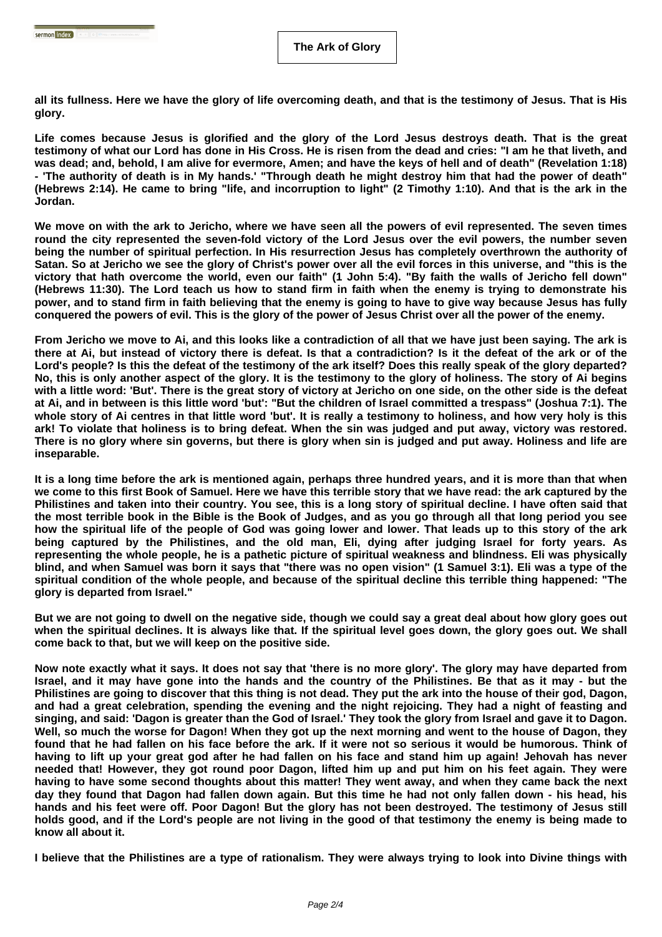**all its fullness. Here we have the glory of life overcoming death, and that is the testimony of Jesus. That is His glory.**

**Life comes because Jesus is glorified and the glory of the Lord Jesus destroys death. That is the great testimony of what our Lord has done in His Cross. He is risen from the dead and cries: "I am he that liveth, and was dead; and, behold, I am alive for evermore, Amen; and have the keys of hell and of death" (Revelation 1:18) - 'The authority of death is in My hands.' "Through death he might destroy him that had the power of death" (Hebrews 2:14). He came to bring "life, and incorruption to light" (2 Timothy 1:10). And that is the ark in the Jordan.**

**We move on with the ark to Jericho, where we have seen all the powers of evil represented. The seven times round the city represented the seven-fold victory of the Lord Jesus over the evil powers, the number seven being the number of spiritual perfection. In His resurrection Jesus has completely overthrown the authority of Satan. So at Jericho we see the glory of Christ's power over all the evil forces in this universe, and "this is the victory that hath overcome the world, even our faith" (1 John 5:4). "By faith the walls of Jericho fell down" (Hebrews 11:30). The Lord teach us how to stand firm in faith when the enemy is trying to demonstrate his power, and to stand firm in faith believing that the enemy is going to have to give way because Jesus has fully conquered the powers of evil. This is the glory of the power of Jesus Christ over all the power of the enemy.**

**From Jericho we move to Ai, and this looks like a contradiction of all that we have just been saying. The ark is there at Ai, but instead of victory there is defeat. Is that a contradiction? Is it the defeat of the ark or of the Lord's people? Is this the defeat of the testimony of the ark itself? Does this really speak of the glory departed? No, this is only another aspect of the glory. It is the testimony to the glory of holiness. The story of Ai begins with a little word: 'But'. There is the great story of victory at Jericho on one side, on the other side is the defeat at Ai, and in between is this little word 'but': "But the children of Israel committed a trespass" (Joshua 7:1). The whole story of Ai centres in that little word 'but'. It is really a testimony to holiness, and how very holy is this ark! To violate that holiness is to bring defeat. When the sin was judged and put away, victory was restored. There is no glory where sin governs, but there is glory when sin is judged and put away. Holiness and life are inseparable.**

**It is a long time before the ark is mentioned again, perhaps three hundred years, and it is more than that when we come to this first Book of Samuel. Here we have this terrible story that we have read: the ark captured by the Philistines and taken into their country. You see, this is a long story of spiritual decline. I have often said that the most terrible book in the Bible is the Book of Judges, and as you go through all that long period you see how the spiritual life of the people of God was going lower and lower. That leads up to this story of the ark being captured by the Philistines, and the old man, Eli, dying after judging Israel for forty years. As representing the whole people, he is a pathetic picture of spiritual weakness and blindness. Eli was physically blind, and when Samuel was born it says that "there was no open vision" (1 Samuel 3:1). Eli was a type of the spiritual condition of the whole people, and because of the spiritual decline this terrible thing happened: "The glory is departed from Israel."**

**But we are not going to dwell on the negative side, though we could say a great deal about how glory goes out when the spiritual declines. It is always like that. If the spiritual level goes down, the glory goes out. We shall come back to that, but we will keep on the positive side.**

**Now note exactly what it says. It does not say that 'there is no more glory'. The glory may have departed from Israel, and it may have gone into the hands and the country of the Philistines. Be that as it may - but the Philistines are going to discover that this thing is not dead. They put the ark into the house of their god, Dagon, and had a great celebration, spending the evening and the night rejoicing. They had a night of feasting and singing, and said: 'Dagon is greater than the God of Israel.' They took the glory from Israel and gave it to Dagon. Well, so much the worse for Dagon! When they got up the next morning and went to the house of Dagon, they found that he had fallen on his face before the ark. If it were not so serious it would be humorous. Think of having to lift up your great god after he had fallen on his face and stand him up again! Jehovah has never needed that! However, they got round poor Dagon, lifted him up and put him on his feet again. They were having to have some second thoughts about this matter! They went away, and when they came back the next day they found that Dagon had fallen down again. But this time he had not only fallen down - his head, his hands and his feet were off. Poor Dagon! But the glory has not been destroyed. The testimony of Jesus still holds good, and if the Lord's people are not living in the good of that testimony the enemy is being made to know all about it.**

**I believe that the Philistines are a type of rationalism. They were always trying to look into Divine things with**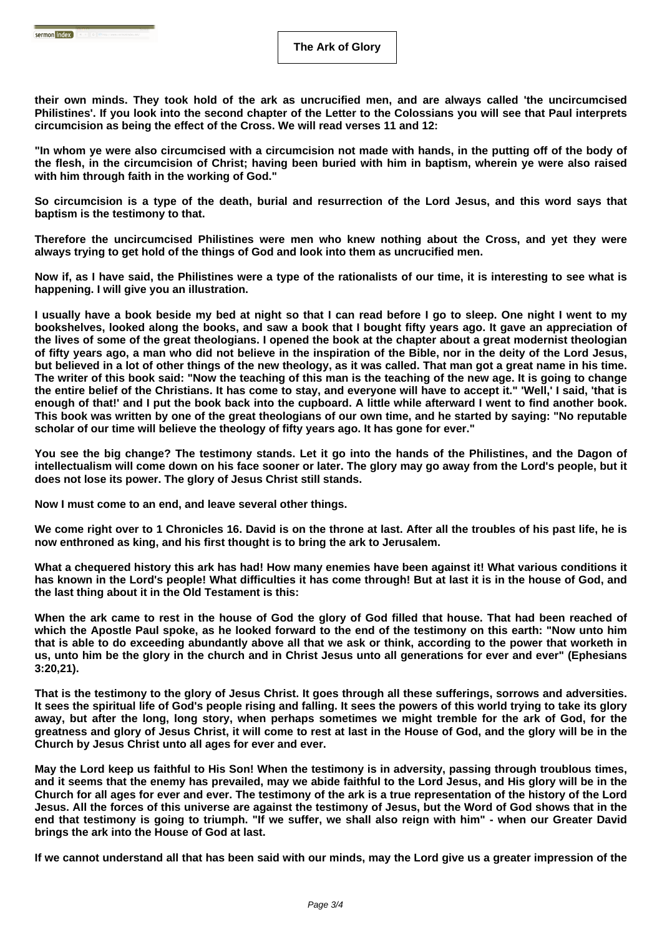**their own minds. They took hold of the ark as uncrucified men, and are always called 'the uncircumcised Philistines'. If you look into the second chapter of the Letter to the Colossians you will see that Paul interprets circumcision as being the effect of the Cross. We will read verses 11 and 12:**

**"In whom ye were also circumcised with a circumcision not made with hands, in the putting off of the body of the flesh, in the circumcision of Christ; having been buried with him in baptism, wherein ye were also raised with him through faith in the working of God."**

**So circumcision is a type of the death, burial and resurrection of the Lord Jesus, and this word says that baptism is the testimony to that.**

**Therefore the uncircumcised Philistines were men who knew nothing about the Cross, and yet they were always trying to get hold of the things of God and look into them as uncrucified men.**

**Now if, as I have said, the Philistines were a type of the rationalists of our time, it is interesting to see what is happening. I will give you an illustration.**

**I usually have a book beside my bed at night so that I can read before I go to sleep. One night I went to my bookshelves, looked along the books, and saw a book that I bought fifty years ago. It gave an appreciation of the lives of some of the great theologians. I opened the book at the chapter about a great modernist theologian of fifty years ago, a man who did not believe in the inspiration of the Bible, nor in the deity of the Lord Jesus, but believed in a lot of other things of the new theology, as it was called. That man got a great name in his time. The writer of this book said: "Now the teaching of this man is the teaching of the new age. It is going to change the entire belief of the Christians. It has come to stay, and everyone will have to accept it." 'Well,' I said, 'that is enough of that!' and I put the book back into the cupboard. A little while afterward I went to find another book. This book was written by one of the great theologians of our own time, and he started by saying: "No reputable scholar of our time will believe the theology of fifty years ago. It has gone for ever."**

**You see the big change? The testimony stands. Let it go into the hands of the Philistines, and the Dagon of intellectualism will come down on his face sooner or later. The glory may go away from the Lord's people, but it does not lose its power. The glory of Jesus Christ still stands.**

**Now I must come to an end, and leave several other things.**

**We come right over to 1 Chronicles 16. David is on the throne at last. After all the troubles of his past life, he is now enthroned as king, and his first thought is to bring the ark to Jerusalem.**

**What a chequered history this ark has had! How many enemies have been against it! What various conditions it has known in the Lord's people! What difficulties it has come through! But at last it is in the house of God, and the last thing about it in the Old Testament is this:**

**When the ark came to rest in the house of God the glory of God filled that house. That had been reached of which the Apostle Paul spoke, as he looked forward to the end of the testimony on this earth: "Now unto him that is able to do exceeding abundantly above all that we ask or think, according to the power that worketh in us, unto him be the glory in the church and in Christ Jesus unto all generations for ever and ever" (Ephesians 3:20,21).**

**That is the testimony to the glory of Jesus Christ. It goes through all these sufferings, sorrows and adversities. It sees the spiritual life of God's people rising and falling. It sees the powers of this world trying to take its glory away, but after the long, long story, when perhaps sometimes we might tremble for the ark of God, for the greatness and glory of Jesus Christ, it will come to rest at last in the House of God, and the glory will be in the Church by Jesus Christ unto all ages for ever and ever.**

**May the Lord keep us faithful to His Son! When the testimony is in adversity, passing through troublous times, and it seems that the enemy has prevailed, may we abide faithful to the Lord Jesus, and His glory will be in the Church for all ages for ever and ever. The testimony of the ark is a true representation of the history of the Lord Jesus. All the forces of this universe are against the testimony of Jesus, but the Word of God shows that in the end that testimony is going to triumph. "If we suffer, we shall also reign with him" - when our Greater David brings the ark into the House of God at last.**

**If we cannot understand all that has been said with our minds, may the Lord give us a greater impression of the**